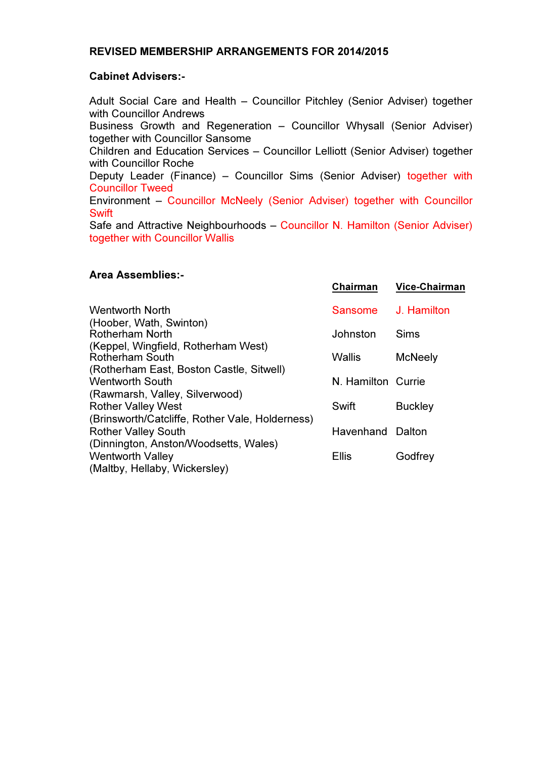# REVISED MEMBERSHIP ARRANGEMENTS FOR 2014/2015

### Cabinet Advisers:-

Adult Social Care and Health – Councillor Pitchley (Senior Adviser) together with Councillor Andrews Business Growth and Regeneration – Councillor Whysall (Senior Adviser) together with Councillor Sansome Children and Education Services – Councillor Lelliott (Senior Adviser) together with Councillor Roche Deputy Leader (Finance) – Councillor Sims (Senior Adviser) together with Councillor Tweed Environment – Councillor McNeely (Senior Adviser) together with Councillor **Swift** Safe and Attractive Neighbourhoods – Councillor N. Hamilton (Senior Adviser) together with Councillor Wallis

### Area Assemblies:-

|                                                                               | Chairman                | <b>Vice-Chairman</b> |
|-------------------------------------------------------------------------------|-------------------------|----------------------|
| Wentworth North                                                               | Sansome                 | J. Hamilton          |
| (Hoober, Wath, Swinton)<br><b>Rotherham North</b>                             | Johnston                | <b>Sims</b>          |
| (Keppel, Wingfield, Rotherham West)<br><b>Rotherham South</b>                 | <b>Wallis</b>           | <b>McNeely</b>       |
| (Rotherham East, Boston Castle, Sitwell)<br><b>Wentworth South</b>            | N. Hamilton Currie      |                      |
| (Rawmarsh, Valley, Silverwood)<br><b>Rother Valley West</b>                   | Swift                   | <b>Buckley</b>       |
| (Brinsworth/Catcliffe, Rother Vale, Holderness)<br><b>Rother Valley South</b> | <b>Havenhand Dalton</b> |                      |
| (Dinnington, Anston/Woodsetts, Wales)<br><b>Wentworth Valley</b>              | <b>Ellis</b>            | Godfrey              |
| (Maltby, Hellaby, Wickersley)                                                 |                         |                      |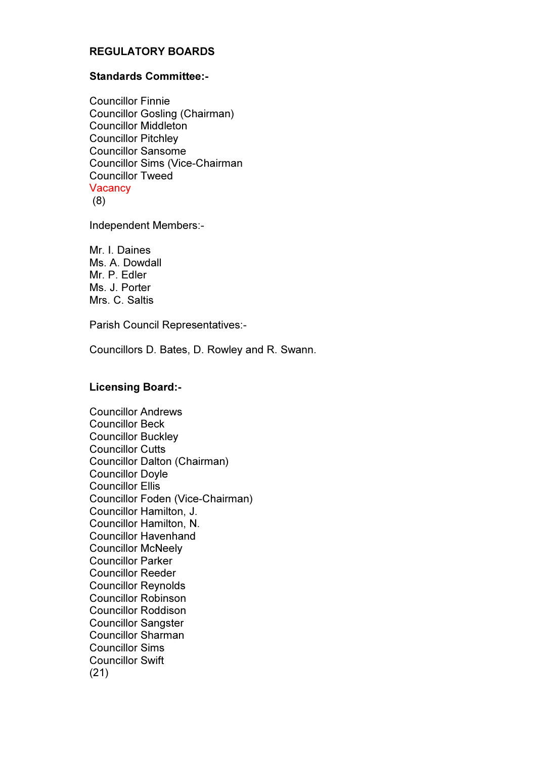# REGULATORY BOARDS

#### Standards Committee:-

Councillor Finnie Councillor Gosling (Chairman) Councillor Middleton Councillor Pitchley Councillor Sansome Councillor Sims (Vice-Chairman Councillor Tweed **Vacancy** (8)

Independent Members:-

Mr. I. Daines Ms. A. Dowdall Mr. P. Edler Ms. J. Porter Mrs. C. Saltis

Parish Council Representatives:-

Councillors D. Bates, D. Rowley and R. Swann.

#### Licensing Board:-

Councillor Andrews Councillor Beck Councillor Buckley Councillor Cutts Councillor Dalton (Chairman) Councillor Doyle Councillor Ellis Councillor Foden (Vice-Chairman) Councillor Hamilton, J. Councillor Hamilton, N. Councillor Havenhand Councillor McNeely Councillor Parker Councillor Reeder Councillor Reynolds Councillor Robinson Councillor Roddison Councillor Sangster Councillor Sharman Councillor Sims Councillor Swift (21)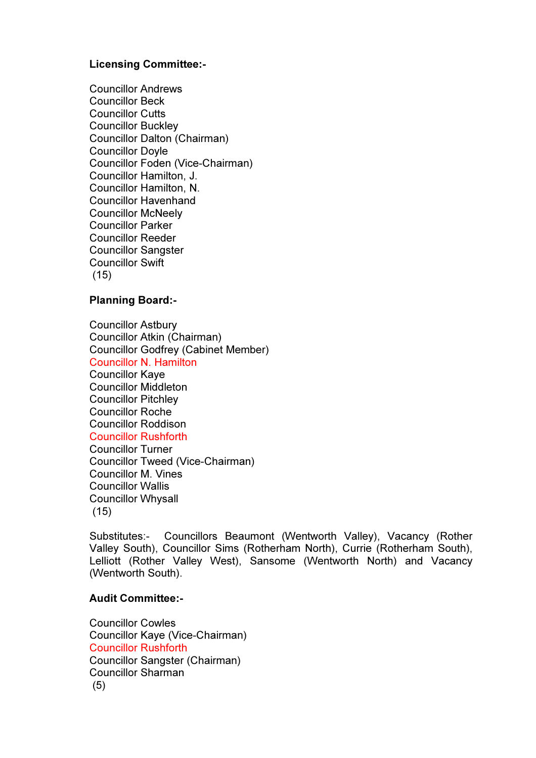# Licensing Committee:-

Councillor Andrews Councillor Beck Councillor Cutts Councillor Buckley Councillor Dalton (Chairman) Councillor Doyle Councillor Foden (Vice-Chairman) Councillor Hamilton, J. Councillor Hamilton, N. Councillor Havenhand Councillor McNeely Councillor Parker Councillor Reeder Councillor Sangster Councillor Swift (15)

### Planning Board:-

Councillor Astbury Councillor Atkin (Chairman) Councillor Godfrey (Cabinet Member) Councillor N. Hamilton Councillor Kaye Councillor Middleton Councillor Pitchley Councillor Roche Councillor Roddison Councillor Rushforth Councillor Turner Councillor Tweed (Vice-Chairman) Councillor M. Vines Councillor Wallis Councillor Whysall (15)

Substitutes:- Councillors Beaumont (Wentworth Valley), Vacancy (Rother Valley South), Councillor Sims (Rotherham North), Currie (Rotherham South), Lelliott (Rother Valley West), Sansome (Wentworth North) and Vacancy (Wentworth South).

# Audit Committee:-

Councillor Cowles Councillor Kaye (Vice-Chairman) Councillor Rushforth Councillor Sangster (Chairman) Councillor Sharman (5)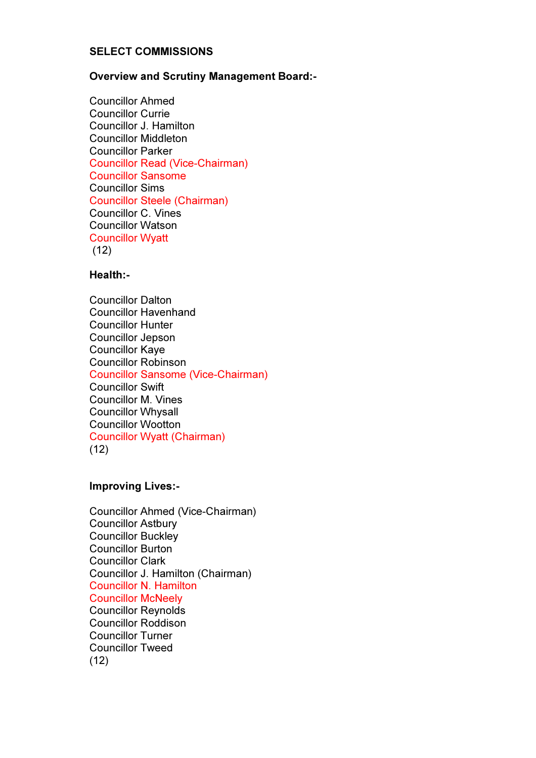### SELECT COMMISSIONS

### Overview and Scrutiny Management Board:-

Councillor Ahmed Councillor Currie Councillor J. Hamilton Councillor Middleton Councillor Parker Councillor Read (Vice-Chairman) Councillor Sansome Councillor Sims Councillor Steele (Chairman) Councillor C. Vines Councillor Watson Councillor Wyatt  $(12)$ 

# Health:-

Councillor Dalton Councillor Havenhand Councillor Hunter Councillor Jepson Councillor Kaye Councillor Robinson Councillor Sansome (Vice-Chairman) Councillor Swift Councillor M. Vines Councillor Whysall Councillor Wootton Councillor Wyatt (Chairman)  $(12)$ 

### Improving Lives:-

| Councillor Ahmed (Vice-Chairman)  |
|-----------------------------------|
| <b>Councillor Astbury</b>         |
| <b>Councillor Buckley</b>         |
| <b>Councillor Burton</b>          |
| <b>Councillor Clark</b>           |
| Councillor J. Hamilton (Chairman) |
| <b>Councillor N. Hamilton</b>     |
| <b>Councillor McNeely</b>         |
| <b>Councillor Reynolds</b>        |
| <b>Councillor Roddison</b>        |
| <b>Councillor Turner</b>          |
| <b>Councillor Tweed</b>           |
| (12)                              |